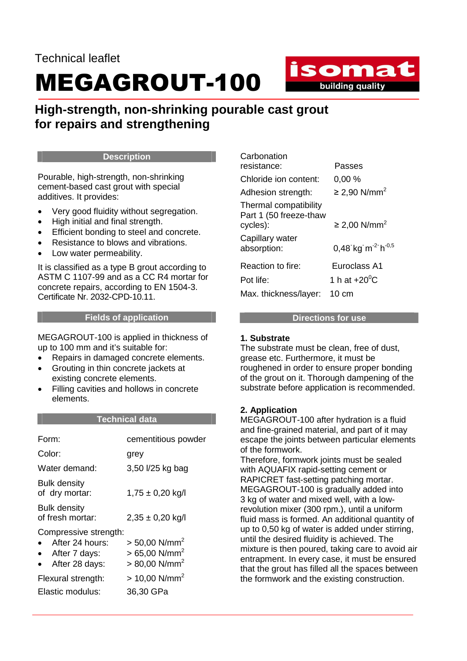## Technical leaflet MEGAGROUT-100

isomat **building quality** 

### **High-strength, non-shrinking pourable cast grout for repairs and strengthening**

#### **Description**

Pourable, high-strength, non-shrinking cement-based cast grout with special additives. It provides:

- Very good fluidity without segregation.
- High initial and final strength.
- Efficient bonding to steel and concrete.
- Resistance to blows and vibrations.
- Low water permeability.

It is classified as a type B grout according to ASTM C 1107-99 and as a CC R4 mortar for concrete repairs, according to EN 1504-3. Certificate Nr. 2032-CPD-10.11.

#### **Fields of application**

MEGAGROUT-100 is applied in thickness of up to 100 mm and it's suitable for:

- Repairs in damaged concrete elements.
- Grouting in thin concrete jackets at existing concrete elements.
- Filling cavities and hollows in concrete elements.

#### **Technical data**

| Form:                                                                                    | cementitious powder                                                                       |
|------------------------------------------------------------------------------------------|-------------------------------------------------------------------------------------------|
| Color:                                                                                   | grey                                                                                      |
| Water demand:                                                                            | 3,50 l/25 kg bag                                                                          |
| <b>Bulk density</b><br>of dry mortar:                                                    | $1,75 \pm 0,20$ kg/l                                                                      |
| <b>Bulk density</b><br>of fresh mortar:                                                  | $2,35 \pm 0,20$ kg/l                                                                      |
| Compressive strength:<br>After 24 hours:<br>$\bullet$<br>After 7 days:<br>After 28 days: | $> 50,00$ N/mm <sup>2</sup><br>$> 65,00$ N/mm <sup>2</sup><br>$> 80,00$ N/mm <sup>2</sup> |
| Flexural strength:<br>Elastic modulus:                                                   | $> 10,00$ N/mm <sup>2</sup><br>36,30 GPa                                                  |

| Carbonation                                                 |                                           |
|-------------------------------------------------------------|-------------------------------------------|
| resistance:                                                 | Passes                                    |
| Chloride ion content:                                       | 0.00%                                     |
| Adhesion strength:                                          | ≥ 2,90 N/mm <sup>2</sup>                  |
| Thermal compatibility<br>Part 1 (50 freeze-thaw<br>cycles): | ≥ 2,00 N/mm <sup>2</sup>                  |
| Capillary water<br>absorption:                              | 0,48 kg m <sup>-2</sup> h <sup>-0,5</sup> |
| Reaction to fire:                                           | Euroclass A1                              |
| Pot life:                                                   | 1 h at $+20^0$ C                          |
| Max. thickness/layer:                                       | 10 cm                                     |

#### **Directions for use**

#### **1. Substrate**

The substrate must be clean, free of dust, grease etc. Furthermore, it must be roughened in order to ensure proper bonding of the grout on it. Thorough dampening of the substrate before application is recommended.

#### **2. Application**

MEGAGROUT-100 after hydration is a fluid and fine-grained material, and part of it may escape the joints between particular elements of the formwork.

Therefore, formwork joints must be sealed with AQUAFIX rapid-setting cement or RAPICRET fast-setting patching mortar. MEGAGROUT-100 is gradually added into 3 kg of water and mixed well, with a lowrevolution mixer (300 rpm.), until a uniform fluid mass is formed. An additional quantity of up to 0,50 kg of water is added under stirring, until the desired fluidity is achieved. The mixture is then poured, taking care to avoid air entrapment. In every case, it must be ensured that the grout has filled all the spaces between the formwork and the existing construction.